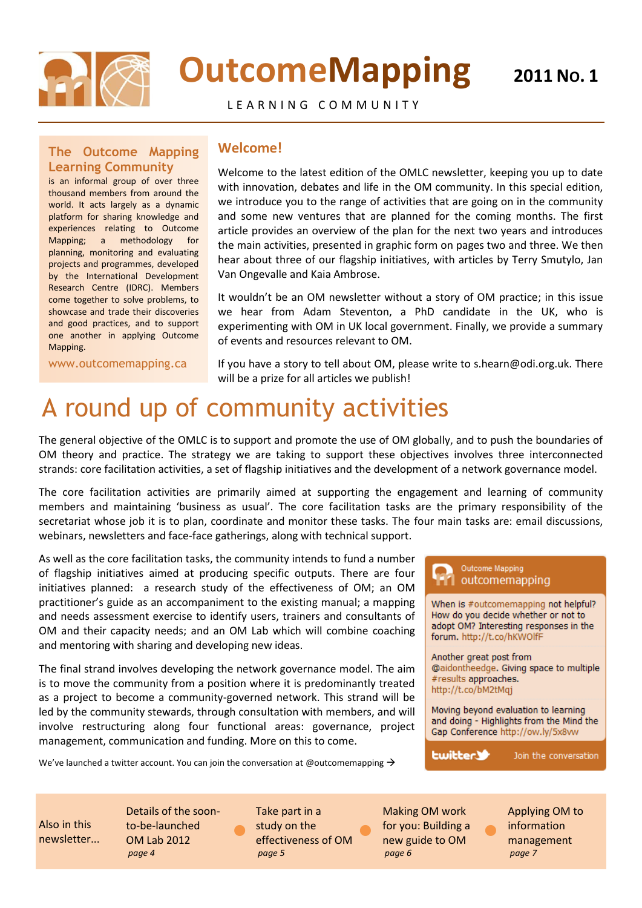

# **OutcomeMapping**

L E A R N I N G C O M M U N I T Y

### **The Outcome Mapping Learning Community**

is an informal group of over three thousand members from around the world. It acts largely as a dynamic platform for sharing knowledge and experiences relating to Outcome Mapping; a methodology for planning, monitoring and evaluating projects and programmes, developed by the International Development Research Centre (IDRC). Members come together to solve problems, to showcase and trade their discoveries and good practices, and to support one another in applying Outcome Mapping.

www.outcomemapping.ca

### **Welcome!**

Welcome to the latest edition of the OMLC newsletter, keeping you up to date with innovation, debates and life in the OM community. In this special edition, we introduce you to the range of activities that are going on in the community and some new ventures that are planned for the coming months. The first article provides an overview of the plan for the next two years and introduces the main activities, presented in graphic form on pages two and three. We then hear about three of our flagship initiatives, with articles by Terry Smutylo, Jan Van Ongevalle and Kaia Ambrose.

It wouldn't be an OM newsletter without a story of OM practice; in this issue we hear from Adam Steventon, a PhD candidate in the UK, who is experimenting with OM in UK local government. Finally, we provide a summary of events and resources relevant to OM.

If you have a story to tell about OM, please write to s.hearn@odi.org.uk. There will be a prize for all articles we publish!

## A round up of community activities

The general objective of the OMLC is to support and promote the use of OM globally, and to push the boundaries of OM theory and practice. The strategy we are taking to support these objectives involves three interconnected strands: core facilitation activities, a set of flagship initiatives and the development of a network governance model.

The core facilitation activities are primarily aimed at supporting the engagement and learning of community members and maintaining 'business as usual'. The core facilitation tasks are the primary responsibility of the secretariat whose job it is to plan, coordinate and monitor these tasks. The four main tasks are: email discussions, webinars, newsletters and face-face gatherings, along with technical support.

As well as the core facilitation tasks, the community intends to fund a number of flagship initiatives aimed at producing specific outputs. There are four initiatives planned: a research study of the effectiveness of OM; an OM practitioner's guide as an accompaniment to the existing manual; a mapping and needs assessment exercise to identify users, trainers and consultants of OM and their capacity needs; and an OM Lab which will combine coaching and mentoring with sharing and developing new ideas.

The final strand involves developing the network governance model. The aim is to move the community from a position where it is predominantly treated as a project to become a community-governed network. This strand will be led by the community stewards, through consultation with members, and will involve restructuring along four functional areas: governance, project management, communication and funding. More on this to come.

We've launched a twitter account. You can join the conversation at @outcomemapping  $\rightarrow$ 

 $\bullet$ 



Also in this newsletter...

Details of the soonto-be-launched OM Lab 2012 *page 4*

Take part in a study on the effectiveness of OM *page 5*

 $\bullet$ 

Making OM work for you: Building a new guide to OM *page 6*

Applying OM to information management *page 7*

 $\bullet$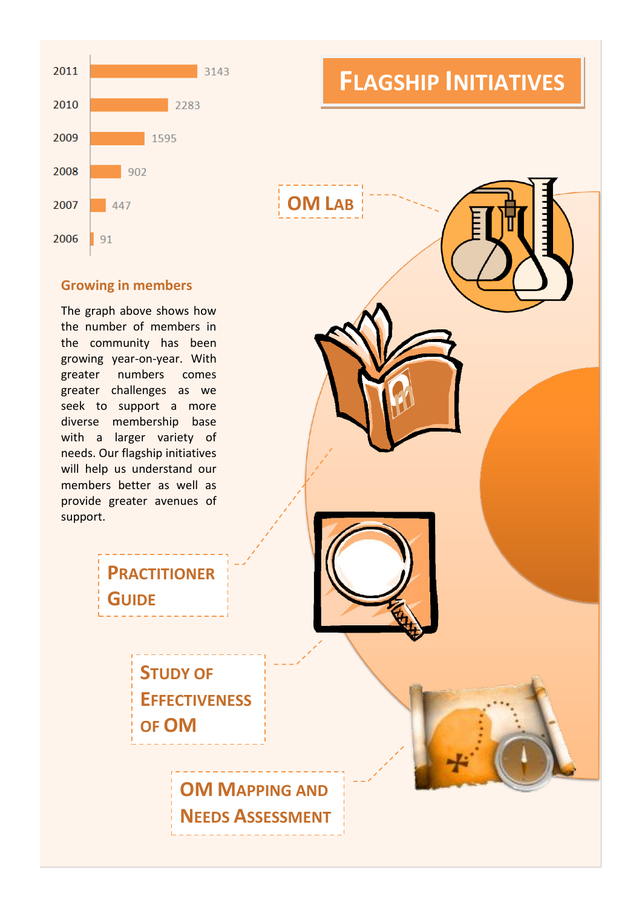

### **Growing in members**

The graph above shows how the number of members in the community has been growing year-on-year. With greater numbers comes greater challenges as we seek to support a more diverse membership base with a larger variety of needs. Our flagship initiatives will help us understand our members better as well as provide greater avenues of support.





**STUDY OF** 

**PRACTITIONER** 

**GUIDE**

**EFFECTIVENESS OF OM**

> **OM MAPPING AND NEEDS ASSESSMENT**

### **FLAGSHIP INITIATIVES**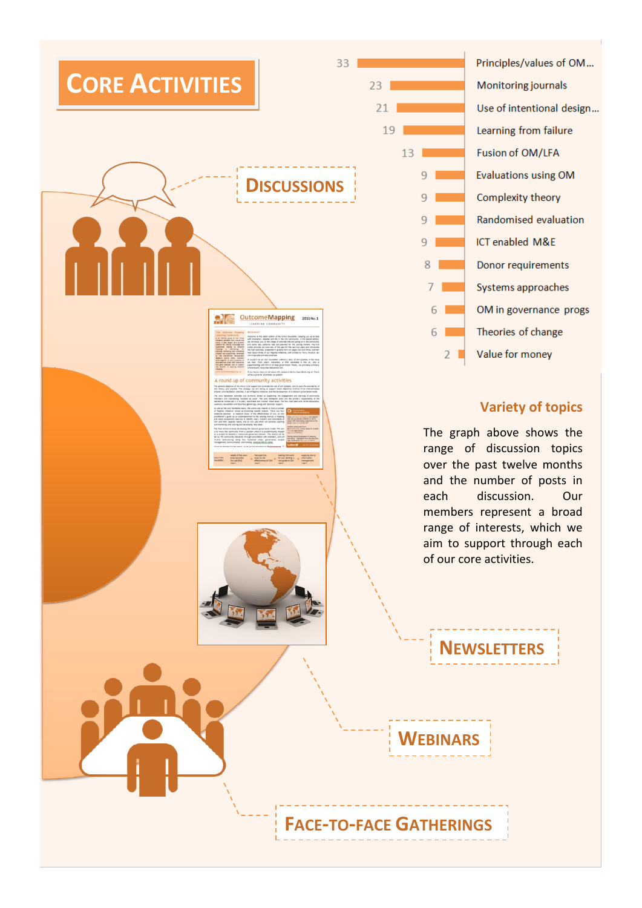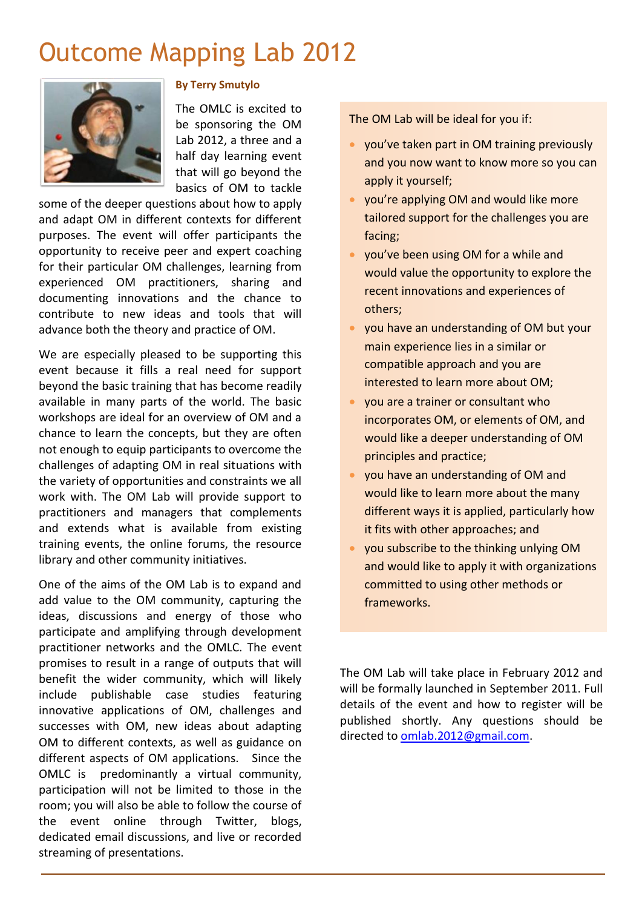## Outcome Mapping Lab 2012



### **By Terry Smutylo**

The OMLC is excited to be sponsoring the OM Lab 2012, a three and a half day learning event that will go beyond the basics of OM to tackle

some of the deeper questions about how to apply and adapt OM in different contexts for different purposes. The event will offer participants the opportunity to receive peer and expert coaching for their particular OM challenges, learning from experienced OM practitioners, sharing and documenting innovations and the chance to contribute to new ideas and tools that will advance both the theory and practice of OM.

We are especially pleased to be supporting this event because it fills a real need for support beyond the basic training that has become readily available in many parts of the world. The basic workshops are ideal for an overview of OM and a chance to learn the concepts, but they are often not enough to equip participants to overcome the challenges of adapting OM in real situations with the variety of opportunities and constraints we all work with. The OM Lab will provide support to practitioners and managers that complements and extends what is available from existing training events, the online forums, the resource library and other community initiatives.

One of the aims of the OM Lab is to expand and add value to the OM community, capturing the ideas, discussions and energy of those who participate and amplifying through development practitioner networks and the OMLC. The event promises to result in a range of outputs that will benefit the wider community, which will likely include publishable case studies featuring innovative applications of OM, challenges and successes with OM, new ideas about adapting OM to different contexts, as well as guidance on different aspects of OM applications. Since the OMLC is predominantly a virtual community, participation will not be limited to those in the room; you will also be able to follow the course of the event online through Twitter, blogs, dedicated email discussions, and live or recorded streaming of presentations.

The OM Lab will be ideal for you if:

- you've taken part in OM training previously and you now want to know more so you can apply it yourself;
- you're applying OM and would like more tailored support for the challenges you are facing;
- you've been using OM for a while and would value the opportunity to explore the recent innovations and experiences of others;
- you have an understanding of OM but your main experience lies in a similar or compatible approach and you are interested to learn more about OM;
- you are a trainer or consultant who incorporates OM, or elements of OM, and would like a deeper understanding of OM principles and practice;
- you have an understanding of OM and would like to learn more about the many different ways it is applied, particularly how it fits with other approaches; and
- you subscribe to the thinking unlying OM and would like to apply it with organizations committed to using other methods or frameworks.

The OM Lab will take place in February 2012 and will be formally launched in September 2011. Full details of the event and how to register will be published shortly. Any questions should be directed t[o omlab.2012@gmail.com.](mailto:omlab.2012@gmail.com)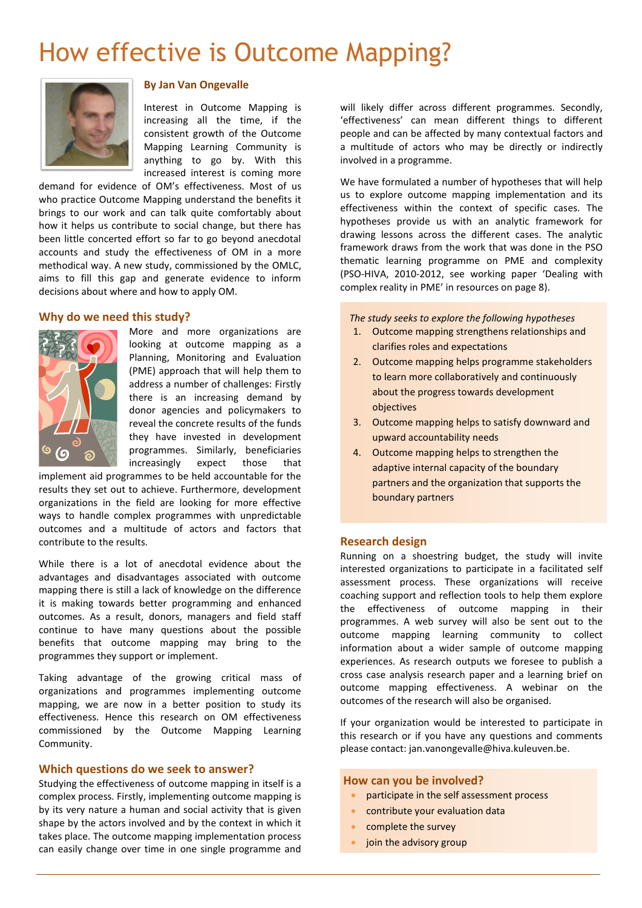## How effective is Outcome Mapping?



#### **By Jan Van Ongevalle**

Interest in Outcome Mapping is increasing all the time, if the consistent growth of the Outcome Mapping Learning Community is anything to go by. With this increased interest is coming more

demand for evidence of OM's effectiveness. Most of us who practice Outcome Mapping understand the benefits it brings to our work and can talk quite comfortably about how it helps us contribute to social change, but there has been little concerted effort so far to go beyond anecdotal accounts and study the effectiveness of OM in a more methodical way. A new study, commissioned by the OMLC, aims to fill this gap and generate evidence to inform decisions about where and how to apply OM.

#### **Why do we need this study?**



More and more organizations are looking at outcome mapping as a Planning, Monitoring and Evaluation (PME) approach that will help them to address a number of challenges: Firstly there is an increasing demand by donor agencies and policymakers to reveal the concrete results of the funds they have invested in development programmes. Similarly, beneficiaries increasingly expect those that

implement aid programmes to be held accountable for the results they set out to achieve. Furthermore, development organizations in the field are looking for more effective ways to handle complex programmes with unpredictable outcomes and a multitude of actors and factors that contribute to the results.

While there is a lot of anecdotal evidence about the advantages and disadvantages associated with outcome mapping there is still a lack of knowledge on the difference it is making towards better programming and enhanced outcomes. As a result, donors, managers and field staff continue to have many questions about the possible benefits that outcome mapping may bring to the programmes they support or implement.

Taking advantage of the growing critical mass of organizations and programmes implementing outcome mapping, we are now in a better position to study its effectiveness. Hence this research on OM effectiveness commissioned by the Outcome Mapping Learning Community.

#### **Which questions do we seek to answer?**

Studying the effectiveness of outcome mapping in itself is a complex process. Firstly, implementing outcome mapping is by its very nature a human and social activity that is given shape by the actors involved and by the context in which it takes place. The outcome mapping implementation process can easily change over time in one single programme and

will likely differ across different programmes. Secondly, 'effectiveness' can mean different things to different people and can be affected by many contextual factors and a multitude of actors who may be directly or indirectly involved in a programme.

We have formulated a number of hypotheses that will help us to explore outcome mapping implementation and its effectiveness within the context of specific cases. The hypotheses provide us with an analytic framework for drawing lessons across the different cases. The analytic framework draws from the work that was done in the PSO thematic learning programme on PME and complexity (PSO-HIVA, 2010-2012, see working paper 'Dealing with complex reality in PME' in resources on page 8).

*The study seeks to explore the following hypotheses*

- 1. Outcome mapping strengthens relationships and clarifies roles and expectations
- 2. Outcome mapping helps programme stakeholders to learn more collaboratively and continuously about the progress towards development objectives
- 3. Outcome mapping helps to satisfy downward and upward accountability needs
- 4. Outcome mapping helps to strengthen the adaptive internal capacity of the boundary partners and the organization that supports the boundary partners

#### **Research design**

Running on a shoestring budget, the study will invite interested organizations to participate in a facilitated self assessment process. These organizations will receive coaching support and reflection tools to help them explore the effectiveness of outcome mapping in their programmes. A web survey will also be sent out to the outcome mapping learning community to collect information about a wider sample of outcome mapping experiences. As research outputs we foresee to publish a cross case analysis research paper and a learning brief on outcome mapping effectiveness. A webinar on the outcomes of the research will also be organised.

If your organization would be interested to participate in this research or if you have any questions and comments please contact: jan.vanongevalle@hiva.kuleuven.be.

#### **How can you be involved?**

- **•** participate in the self assessment process
- contribute your evaluation data
- complete the survey
- join the advisory group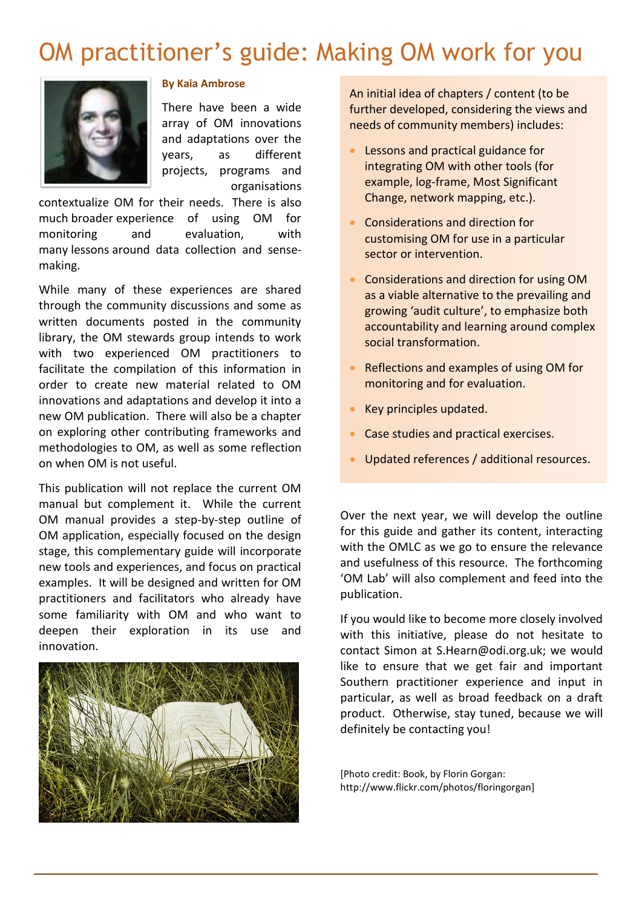### OM practitioner's guide: Making OM work for you



### **By Kaia Ambrose**

There have been a wide array of OM innovations and adaptations over the years, as different projects, programs and organisations

contextualize OM for their needs. There is also much broader experience of using OM for monitoring and evaluation, with many lessons around data collection and sensemaking.

While many of these experiences are shared through the community discussions and some as written documents posted in the community library, the OM stewards group intends to work with two experienced OM practitioners to facilitate the compilation of this information in order to create new material related to OM innovations and adaptations and develop it into a new OM publication. There will also be a chapter on exploring other contributing frameworks and methodologies to OM, as well as some reflection on when OM is not useful.

This publication will not replace the current OM manual but complement it. While the current OM manual provides a step-by-step outline of OM application, especially focused on the design stage, this complementary guide will incorporate new tools and experiences, and focus on practical examples. It will be designed and written for OM practitioners and facilitators who already have some familiarity with OM and who want to deepen their exploration in its use and innovation.



An initial idea of chapters / content (to be further developed, considering the views and needs of community members) includes:

- Lessons and practical guidance for integrating OM with other tools (for example, log-frame, Most Significant Change, network mapping, etc.).
- Considerations and direction for customising OM for use in a particular sector or intervention.
- Considerations and direction for using OM as a viable alternative to the prevailing and growing 'audit culture', to emphasize both accountability and learning around complex social transformation.
- Reflections and examples of using OM for monitoring and for evaluation.
- Key principles updated.
- **Case studies and practical exercises.**
- **•** Updated references / additional resources.

Over the next year, we will develop the outline for this guide and gather its content, interacting with the OMLC as we go to ensure the relevance and usefulness of this resource. The forthcoming 'OM Lab' will also complement and feed into the publication.

If you would like to become more closely involved with this initiative, please do not hesitate to contact Simon at [S.Hearn@odi.org.uk;](mailto:S.Hearn@odi.org.uk) we would like to ensure that we get fair and important Southern practitioner experience and input in particular, as well as broad feedback on a draft product. Otherwise, stay tuned, because we will definitely be contacting you!

[Photo credit: Book, by Florin Gorgan: http://www.flickr.com/photos/floringorgan]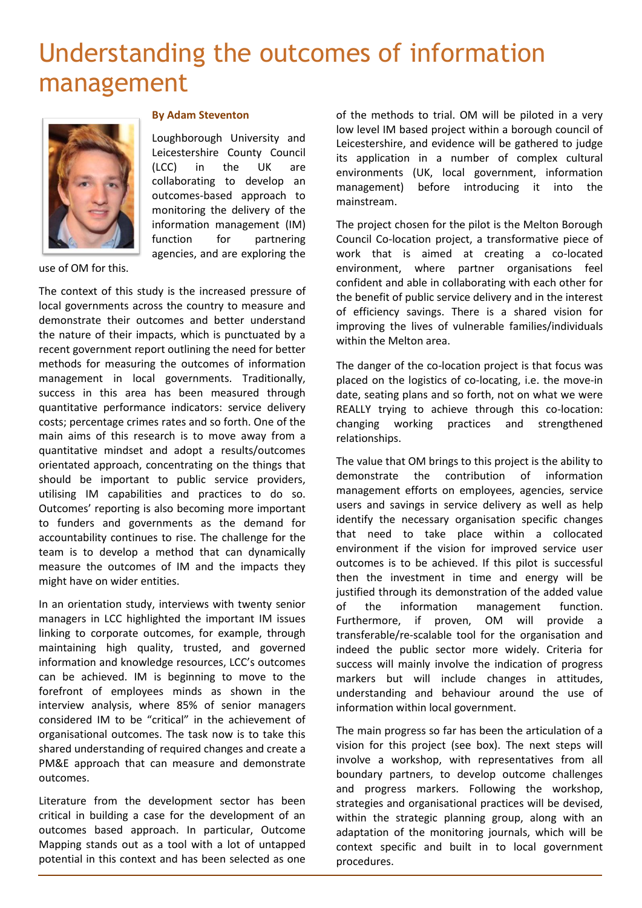## Understanding the outcomes of information management



#### **By Adam Steventon**

Loughborough University and Leicestershire County Council (LCC) in the UK are collaborating to develop an outcomes-based approach to monitoring the delivery of the information management (IM) function for partnering agencies, and are exploring the

use of OM for this.

The context of this study is the increased pressure of local governments across the country to measure and demonstrate their outcomes and better understand the nature of their impacts, which is punctuated by a recent government report outlining the need for better methods for measuring the outcomes of information management in local governments. Traditionally, success in this area has been measured through quantitative performance indicators: service delivery costs; percentage crimes rates and so forth. One of the main aims of this research is to move away from a quantitative mindset and adopt a results/outcomes orientated approach, concentrating on the things that should be important to public service providers, utilising IM capabilities and practices to do so. Outcomes' reporting is also becoming more important to funders and governments as the demand for accountability continues to rise. The challenge for the team is to develop a method that can dynamically measure the outcomes of IM and the impacts they might have on wider entities.

In an orientation study, interviews with twenty senior managers in LCC highlighted the important IM issues linking to corporate outcomes, for example, through maintaining high quality, trusted, and governed information and knowledge resources, LCC's outcomes can be achieved. IM is beginning to move to the forefront of employees minds as shown in the interview analysis, where 85% of senior managers considered IM to be "critical" in the achievement of organisational outcomes. The task now is to take this shared understanding of required changes and create a PM&E approach that can measure and demonstrate outcomes.

Literature from the development sector has been critical in building a case for the development of an outcomes based approach. In particular, Outcome Mapping stands out as a tool with a lot of untapped potential in this context and has been selected as one of the methods to trial. OM will be piloted in a very low level IM based project within a borough council of Leicestershire, and evidence will be gathered to judge its application in a number of complex cultural environments (UK, local government, information management) before introducing it into the mainstream.

The project chosen for the pilot is the Melton Borough Council Co-location project, a transformative piece of work that is aimed at creating a co-located environment, where partner organisations feel confident and able in collaborating with each other for the benefit of public service delivery and in the interest of efficiency savings. There is a shared vision for improving the lives of vulnerable families/individuals within the Melton area.

The danger of the co-location project is that focus was placed on the logistics of co-locating, i.e. the move-in date, seating plans and so forth, not on what we were REALLY trying to achieve through this co-location: changing working practices and strengthened relationships.

The value that OM brings to this project is the ability to demonstrate the contribution of information management efforts on employees, agencies, service users and savings in service delivery as well as help identify the necessary organisation specific changes that need to take place within a collocated environment if the vision for improved service user outcomes is to be achieved. If this pilot is successful then the investment in time and energy will be justified through its demonstration of the added value of the information management function. Furthermore, if proven, OM will provide a transferable/re-scalable tool for the organisation and indeed the public sector more widely. Criteria for success will mainly involve the indication of progress markers but will include changes in attitudes, understanding and behaviour around the use of information within local government.

The main progress so far has been the articulation of a vision for this project (see box). The next steps will involve a workshop, with representatives from all boundary partners, to develop outcome challenges and progress markers. Following the workshop, strategies and organisational practices will be devised, within the strategic planning group, along with an adaptation of the monitoring journals, which will be context specific and built in to local government procedures.